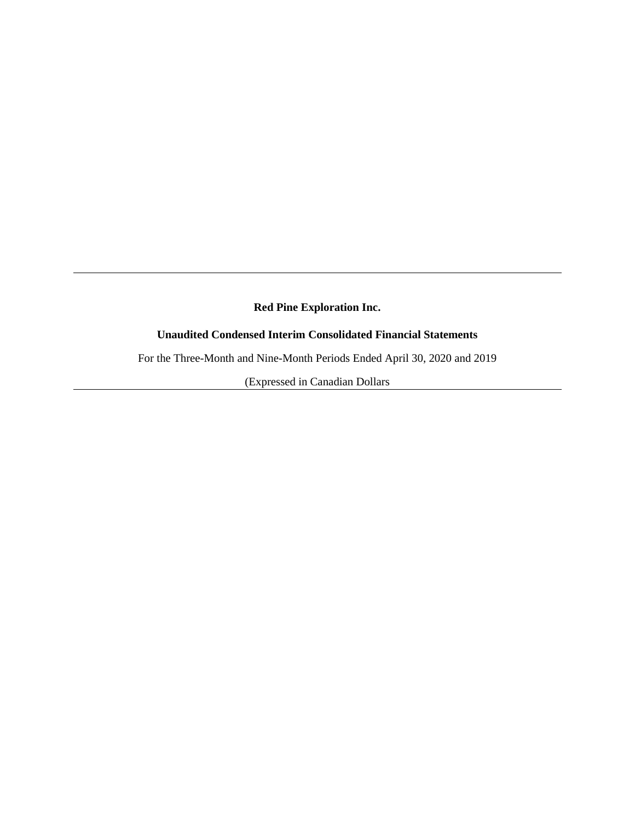# **Red Pine Exploration Inc.**

# **Unaudited Condensed Interim Consolidated Financial Statements**

For the Three-Month and Nine-Month Periods Ended April 30, 2020 and 2019

(Expressed in Canadian Dollars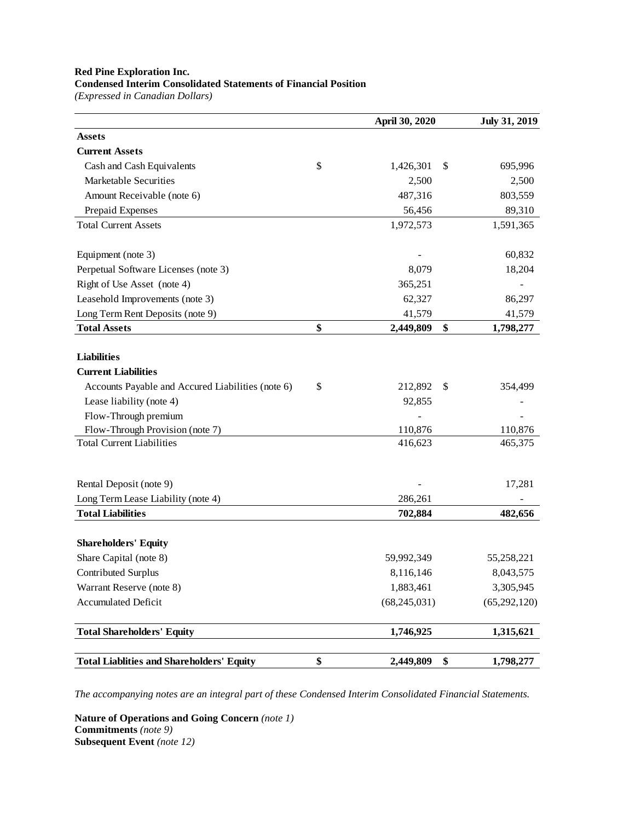#### **Red Pine Exploration Inc. Condensed Interim Consolidated Statements of Financial Position**

*(Expressed in Canadian Dollars)*

|                                                   | April 30, 2020  | <b>July 31, 2019</b> |
|---------------------------------------------------|-----------------|----------------------|
| <b>Assets</b>                                     |                 |                      |
| <b>Current Assets</b>                             |                 |                      |
| Cash and Cash Equivalents                         | \$<br>1,426,301 | \$<br>695,996        |
| Marketable Securities                             | 2,500           | 2,500                |
| Amount Receivable (note 6)                        | 487,316         | 803,559              |
| Prepaid Expenses                                  | 56,456          | 89,310               |
| <b>Total Current Assets</b>                       | 1,972,573       | 1,591,365            |
| Equipment (note 3)                                |                 | 60,832               |
| Perpetual Software Licenses (note 3)              | 8,079           | 18,204               |
| Right of Use Asset (note 4)                       | 365,251         |                      |
| Leasehold Improvements (note 3)                   | 62,327          | 86,297               |
| Long Term Rent Deposits (note 9)                  | 41,579          | 41,579               |
| <b>Total Assets</b>                               | \$<br>2,449,809 | \$<br>1,798,277      |
| <b>Liabilities</b>                                |                 |                      |
| <b>Current Liabilities</b>                        |                 |                      |
| Accounts Payable and Accured Liabilities (note 6) | \$<br>212,892   | \$<br>354,499        |
| Lease liability (note 4)                          | 92,855          |                      |
| Flow-Through premium                              |                 |                      |
| Flow-Through Provision (note 7)                   | 110,876         | 110,876              |
| <b>Total Current Liabilities</b>                  | 416,623         | 465,375              |
| Rental Deposit (note 9)                           |                 | 17,281               |
| Long Term Lease Liability (note 4)                | 286,261         |                      |
| <b>Total Liabilities</b>                          | 702,884         | 482,656              |
| <b>Shareholders' Equity</b>                       |                 |                      |
| Share Capital (note 8)                            | 59,992,349      | 55,258,221           |
| <b>Contributed Surplus</b>                        | 8,116,146       | 8,043,575            |
| Warrant Reserve (note 8)                          | 1,883,461       | 3,305,945            |
| <b>Accumulated Deficit</b>                        | (68, 245, 031)  | (65, 292, 120)       |
| <b>Total Shareholders' Equity</b>                 | 1,746,925       | 1,315,621            |
| <b>Total Liablities and Shareholders' Equity</b>  | \$<br>2,449,809 | \$<br>1,798,277      |

*The accompanying notes are an integral part of these Condensed Interim Consolidated Financial Statements.*

**Nature of Operations and Going Concern** *(note 1)* **Commitments** *(note 9)* **Subsequent Event** *(note 12)*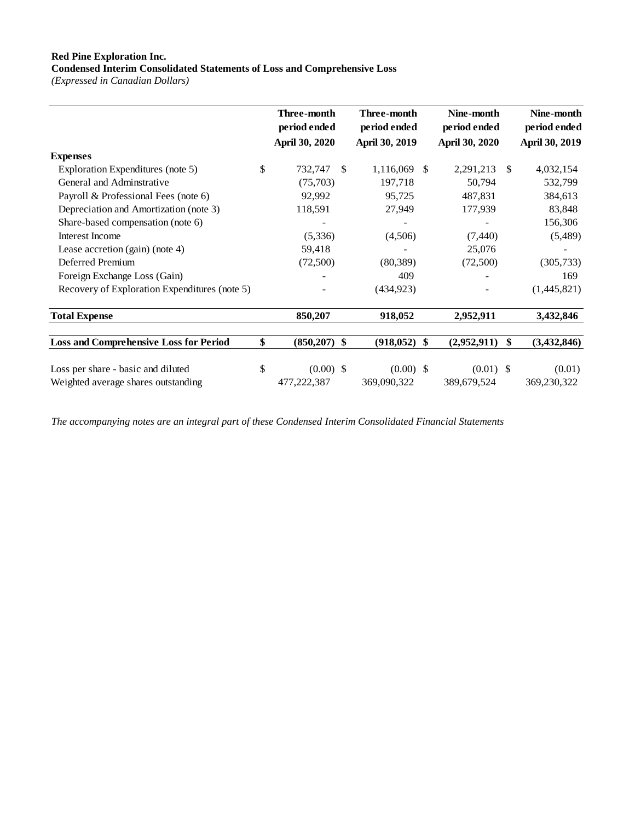# **Red Pine Exploration Inc.**

**Condensed Interim Consolidated Statements of Loss and Comprehensive Loss**

*(Expressed in Canadian Dollars)*

|                                               | Three-month<br>period ended |     | Three-month<br>period ended |    | Nine-month<br>period ended |    | Nine-month<br>period ended |
|-----------------------------------------------|-----------------------------|-----|-----------------------------|----|----------------------------|----|----------------------------|
|                                               | <b>April 30, 2020</b>       |     | April 30, 2019              |    | April 30, 2020             |    | April 30, 2019             |
| <b>Expenses</b>                               |                             |     |                             |    |                            |    |                            |
| Exploration Expenditures (note 5)             | \$<br>732,747               | \$. | 1,116,069                   | -S | 2,291,213                  | S  | 4,032,154                  |
| General and Adminstrative                     | (75,703)                    |     | 197,718                     |    | 50,794                     |    | 532,799                    |
| Payroll & Professional Fees (note 6)          | 92,992                      |     | 95,725                      |    | 487,831                    |    | 384,613                    |
| Depreciation and Amortization (note 3)        | 118,591                     |     | 27,949                      |    | 177,939                    |    | 83,848                     |
| Share-based compensation (note 6)             |                             |     |                             |    |                            |    | 156,306                    |
| Interest Income                               | (5,336)                     |     | (4,506)                     |    | (7, 440)                   |    | (5,489)                    |
| Lease accretion $(gain)$ (note 4)             | 59,418                      |     |                             |    | 25,076                     |    |                            |
| Deferred Premium                              | (72,500)                    |     | (80, 389)                   |    | (72,500)                   |    | (305, 733)                 |
| Foreign Exchange Loss (Gain)                  |                             |     | 409                         |    |                            |    | 169                        |
| Recovery of Exploration Expenditures (note 5) |                             |     | (434, 923)                  |    |                            |    | (1,445,821)                |
| <b>Total Expense</b>                          | 850,207                     |     | 918,052                     |    | 2,952,911                  |    | 3,432,846                  |
| <b>Loss and Comprehensive Loss for Period</b> | \$<br>$(850,207)$ \$        |     | $(918, 052)$ \$             |    | (2,952,911)                | \$ | (3, 432, 846)              |
| Loss per share - basic and diluted            | \$<br>$(0.00)$ \$           |     | $(0.00)$ \$                 |    | $(0.01)$ \$                |    | (0.01)                     |
| Weighted average shares outstanding           | 477,222,387                 |     | 369,090,322                 |    | 389,679,524                |    | 369,230,322                |

*The accompanying notes are an integral part of these Condensed Interim Consolidated Financial Statements*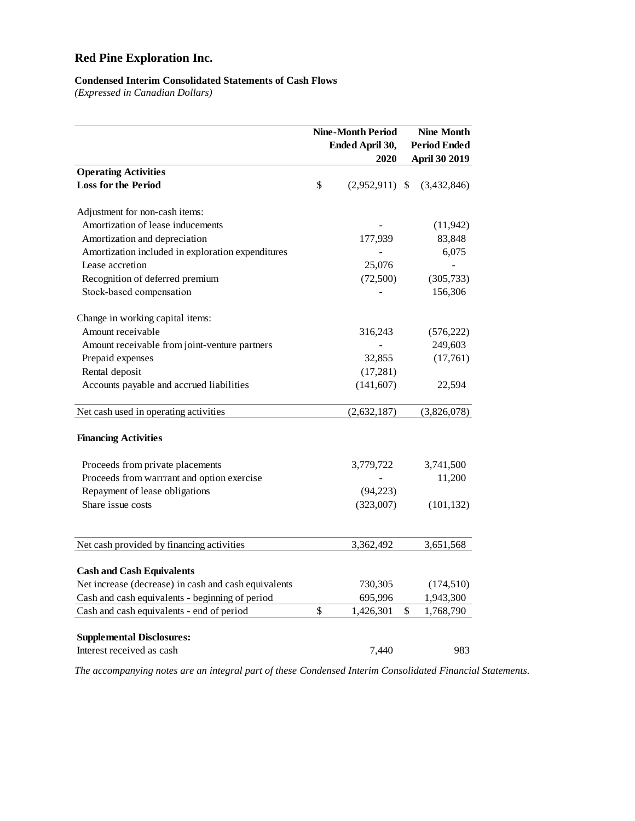# **Red Pine Exploration Inc.**

### **Condensed Interim Consolidated Statements of Cash Flows**

*(Expressed in Canadian Dollars)*

|                                                      | <b>Nine-Month Period</b><br>Ended April 30,<br>2020 |                  |    | <b>Nine Month</b><br><b>Period Ended</b><br><b>April 30 2019</b> |  |
|------------------------------------------------------|-----------------------------------------------------|------------------|----|------------------------------------------------------------------|--|
| <b>Operating Activities</b>                          |                                                     |                  |    |                                                                  |  |
| <b>Loss for the Period</b>                           | \$                                                  | $(2,952,911)$ \$ |    | (3,432,846)                                                      |  |
| Adjustment for non-cash items:                       |                                                     |                  |    |                                                                  |  |
| Amortization of lease inducements                    |                                                     |                  |    | (11, 942)                                                        |  |
| Amortization and depreciation                        |                                                     | 177,939          |    | 83,848                                                           |  |
| Amortization included in exploration expenditures    |                                                     |                  |    | 6,075                                                            |  |
| Lease accretion                                      |                                                     | 25,076           |    | L.                                                               |  |
| Recognition of deferred premium                      |                                                     | (72,500)         |    | (305, 733)                                                       |  |
| Stock-based compensation                             |                                                     |                  |    | 156,306                                                          |  |
| Change in working capital items:                     |                                                     |                  |    |                                                                  |  |
| Amount receivable                                    |                                                     | 316,243          |    | (576, 222)                                                       |  |
| Amount receivable from joint-venture partners        |                                                     |                  |    | 249,603                                                          |  |
| Prepaid expenses                                     |                                                     | 32,855           |    | (17,761)                                                         |  |
| Rental deposit                                       |                                                     | (17,281)         |    |                                                                  |  |
| Accounts payable and accrued liabilities             |                                                     | (141, 607)       |    | 22,594                                                           |  |
| Net cash used in operating activities                |                                                     | (2,632,187)      |    | (3,826,078)                                                      |  |
| <b>Financing Activities</b>                          |                                                     |                  |    |                                                                  |  |
| Proceeds from private placements                     |                                                     | 3,779,722        |    | 3,741,500                                                        |  |
| Proceeds from warrrant and option exercise           |                                                     |                  |    | 11,200                                                           |  |
| Repayment of lease obligations                       |                                                     | (94, 223)        |    |                                                                  |  |
| Share issue costs                                    |                                                     | (323,007)        |    | (101, 132)                                                       |  |
|                                                      |                                                     |                  |    |                                                                  |  |
| Net cash provided by financing activities            |                                                     | 3,362,492        |    | 3,651,568                                                        |  |
| <b>Cash and Cash Equivalents</b>                     |                                                     |                  |    |                                                                  |  |
| Net increase (decrease) in cash and cash equivalents |                                                     | 730,305          |    | (174, 510)                                                       |  |
| Cash and cash equivalents - beginning of period      |                                                     | 695,996          |    | 1,943,300                                                        |  |
| Cash and cash equivalents - end of period            | \$                                                  | 1,426,301        | \$ | 1,768,790                                                        |  |
| <b>Supplemental Disclosures:</b>                     |                                                     |                  |    |                                                                  |  |
| Interest received as cash                            |                                                     | 7,440            |    | 983                                                              |  |

*The accompanying notes are an integral part of these Condensed Interim Consolidated Financial Statements.*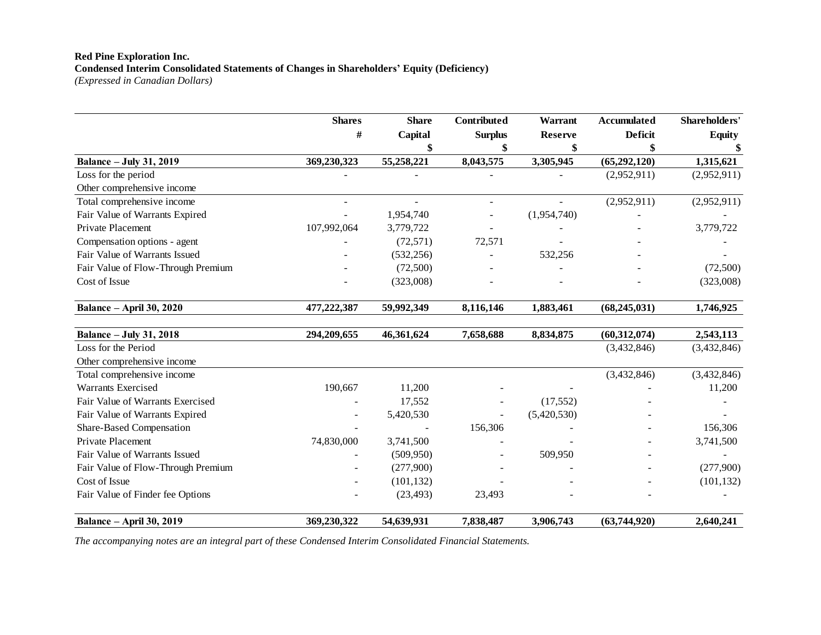#### **Red Pine Exploration Inc. Condensed Interim Consolidated Statements of Changes in Shareholders' Equity (Deficiency)** *(Expressed in Canadian Dollars)*

|                                    | <b>Shares</b> | <b>Share</b> | Contributed       | Warrant        | Accumulated    | Shareholders' |
|------------------------------------|---------------|--------------|-------------------|----------------|----------------|---------------|
|                                    | #             | Capital      | <b>Surplus</b>    | <b>Reserve</b> | <b>Deficit</b> | <b>Equity</b> |
|                                    |               |              |                   |                |                |               |
| <b>Balance – July 31, 2019</b>     | 369,230,323   | 55,258,221   | 8,043,575         | 3,305,945      | (65,292,120)   | 1,315,621     |
| Loss for the period                |               |              |                   |                | (2,952,911)    | (2,952,911)   |
| Other comprehensive income         |               |              |                   |                |                |               |
| Total comprehensive income         |               |              |                   |                | (2,952,911)    | (2,952,911)   |
| Fair Value of Warrants Expired     |               | 1,954,740    | $\qquad \qquad -$ | (1,954,740)    |                |               |
| Private Placement                  | 107,992,064   | 3,779,722    |                   |                |                | 3,779,722     |
| Compensation options - agent       |               | (72, 571)    | 72,571            |                |                |               |
| Fair Value of Warrants Issued      |               | (532, 256)   |                   | 532,256        |                |               |
| Fair Value of Flow-Through Premium |               | (72,500)     |                   |                |                | (72,500)      |
| Cost of Issue                      |               | (323,008)    |                   |                |                | (323,008)     |
| <b>Balance – April 30, 2020</b>    | 477,222,387   | 59,992,349   | 8,116,146         | 1,883,461      | (68, 245, 031) | 1,746,925     |
| <b>Balance - July 31, 2018</b>     | 294,209,655   | 46,361,624   | 7,658,688         | 8,834,875      | (60, 312, 074) | 2,543,113     |
| Loss for the Period                |               |              |                   |                | (3,432,846)    | (3,432,846)   |
| Other comprehensive income         |               |              |                   |                |                |               |
| Total comprehensive income         |               |              |                   |                | (3,432,846)    | (3,432,846)   |
| <b>Warrants Exercised</b>          | 190,667       | 11,200       |                   |                |                | 11,200        |
| Fair Value of Warrants Exercised   |               | 17,552       |                   | (17, 552)      |                |               |

Fair Value of Warrants Expired **- 5,420,530** - (5,420,530) - (5,420,530) Share-Based Compensation **156,306** - 156,306 - 156,306 - 156,306 Private Placement 2, 2,830,000 3,741,500 - - - 3,741,500 Fair Value of Warrants Issued - (509,950) - 509,950 - 509,950 - 509,950 - - 509,950 - - - - - - - - - - - - - -Fair Value of Flow-Through Premium - (277,900) - - - (277,900) Cost of Issue 2011 101, 132 and 2012 101, 132 and 2012 101, 132 and 2013 101, 132 and 2013 101, 132 and 2013 1 Fair Value of Finder fee Options - (23,493) 23,493 - - -

**Balance – April 30, 2019 369,230,322 54,639,931 7,838,487 3,906,743 (63,744,920) 2,640,241**

*The accompanying notes are an integral part of these Condensed Interim Consolidated Financial Statements.*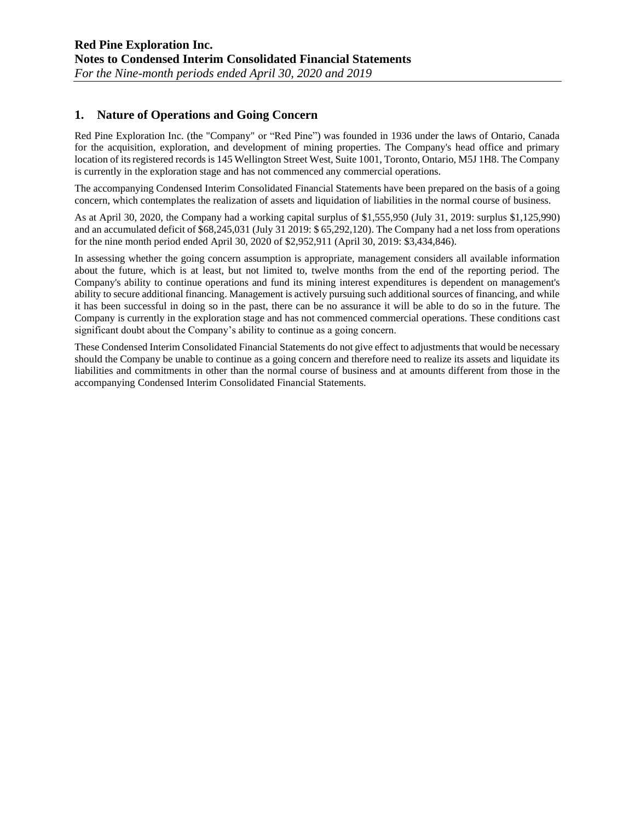# **1. Nature of Operations and Going Concern**

Red Pine Exploration Inc. (the "Company" or "Red Pine") was founded in 1936 under the laws of Ontario, Canada for the acquisition, exploration, and development of mining properties. The Company's head office and primary location of its registered records is 145 Wellington Street West, Suite 1001, Toronto, Ontario, M5J 1H8. The Company is currently in the exploration stage and has not commenced any commercial operations.

The accompanying Condensed Interim Consolidated Financial Statements have been prepared on the basis of a going concern, which contemplates the realization of assets and liquidation of liabilities in the normal course of business.

As at April 30, 2020, the Company had a working capital surplus of \$1,555,950 (July 31, 2019: surplus \$1,125,990) and an accumulated deficit of \$68,245,031 (July 31 2019: \$ 65,292,120). The Company had a net loss from operations for the nine month period ended April 30, 2020 of \$2,952,911 (April 30, 2019: \$3,434,846).

In assessing whether the going concern assumption is appropriate, management considers all available information about the future, which is at least, but not limited to, twelve months from the end of the reporting period. The Company's ability to continue operations and fund its mining interest expenditures is dependent on management's ability to secure additional financing. Management is actively pursuing such additional sources of financing, and while it has been successful in doing so in the past, there can be no assurance it will be able to do so in the future. The Company is currently in the exploration stage and has not commenced commercial operations. These conditions cast significant doubt about the Company's ability to continue as a going concern.

These Condensed Interim Consolidated Financial Statements do not give effect to adjustments that would be necessary should the Company be unable to continue as a going concern and therefore need to realize its assets and liquidate its liabilities and commitments in other than the normal course of business and at amounts different from those in the accompanying Condensed Interim Consolidated Financial Statements.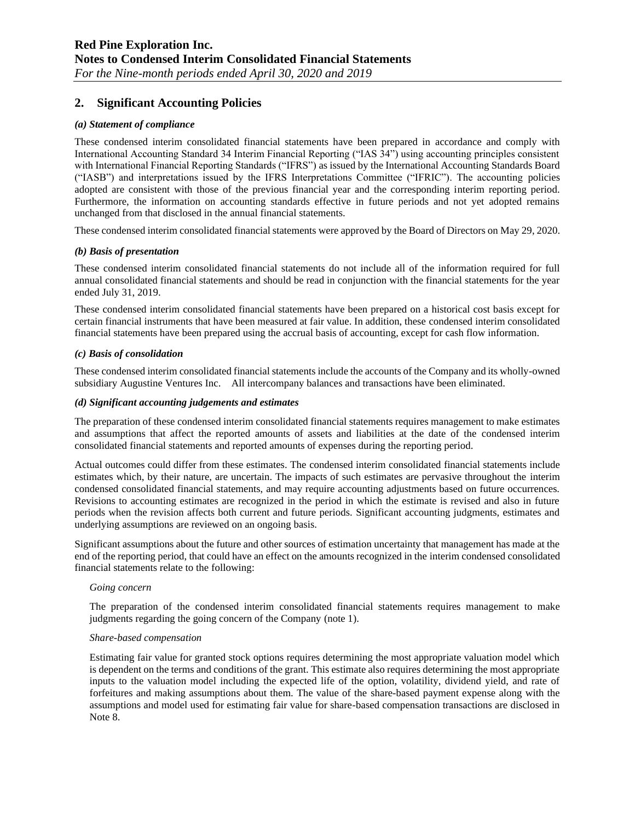# **2. Significant Accounting Policies**

#### *(a) Statement of compliance*

These condensed interim consolidated financial statements have been prepared in accordance and comply with International Accounting Standard 34 Interim Financial Reporting ("IAS 34") using accounting principles consistent with International Financial Reporting Standards ("IFRS") as issued by the International Accounting Standards Board ("IASB") and interpretations issued by the IFRS Interpretations Committee ("IFRIC"). The accounting policies adopted are consistent with those of the previous financial year and the corresponding interim reporting period. Furthermore, the information on accounting standards effective in future periods and not yet adopted remains unchanged from that disclosed in the annual financial statements.

These condensed interim consolidated financial statements were approved by the Board of Directors on May 29, 2020.

#### *(b) Basis of presentation*

These condensed interim consolidated financial statements do not include all of the information required for full annual consolidated financial statements and should be read in conjunction with the financial statements for the year ended July 31, 2019.

These condensed interim consolidated financial statements have been prepared on a historical cost basis except for certain financial instruments that have been measured at fair value. In addition, these condensed interim consolidated financial statements have been prepared using the accrual basis of accounting, except for cash flow information.

#### *(c) Basis of consolidation*

These condensed interim consolidated financial statements include the accounts of the Company and its wholly-owned subsidiary Augustine Ventures Inc. All intercompany balances and transactions have been eliminated.

#### *(d) Significant accounting judgements and estimates*

The preparation of these condensed interim consolidated financial statements requires management to make estimates and assumptions that affect the reported amounts of assets and liabilities at the date of the condensed interim consolidated financial statements and reported amounts of expenses during the reporting period.

Actual outcomes could differ from these estimates. The condensed interim consolidated financial statements include estimates which, by their nature, are uncertain. The impacts of such estimates are pervasive throughout the interim condensed consolidated financial statements, and may require accounting adjustments based on future occurrences. Revisions to accounting estimates are recognized in the period in which the estimate is revised and also in future periods when the revision affects both current and future periods. Significant accounting judgments, estimates and underlying assumptions are reviewed on an ongoing basis.

Significant assumptions about the future and other sources of estimation uncertainty that management has made at the end of the reporting period, that could have an effect on the amounts recognized in the interim condensed consolidated financial statements relate to the following:

#### *Going concern*

The preparation of the condensed interim consolidated financial statements requires management to make judgments regarding the going concern of the Company (note 1).

#### *Share-based compensation*

Estimating fair value for granted stock options requires determining the most appropriate valuation model which is dependent on the terms and conditions of the grant. This estimate also requires determining the most appropriate inputs to the valuation model including the expected life of the option, volatility, dividend yield, and rate of forfeitures and making assumptions about them. The value of the share-based payment expense along with the assumptions and model used for estimating fair value for share-based compensation transactions are disclosed in Note 8.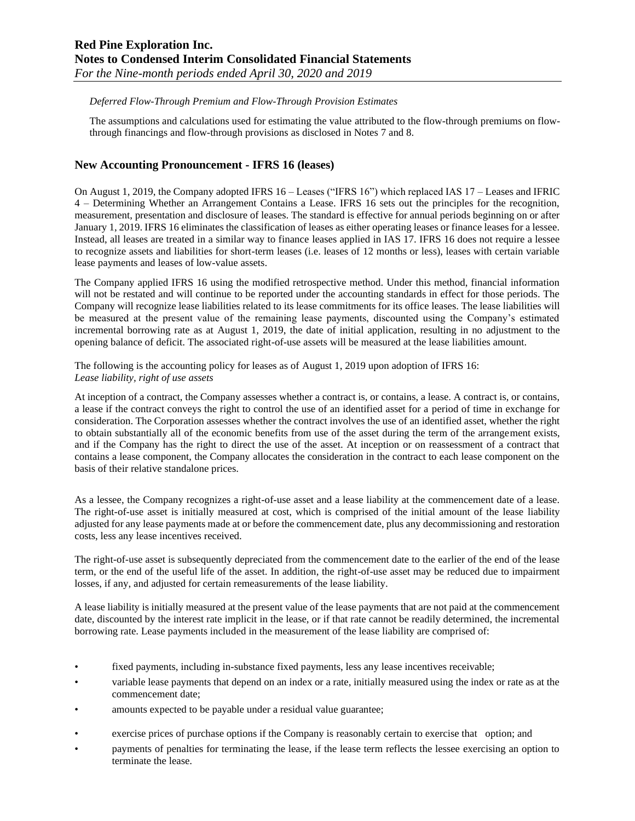#### *Deferred Flow-Through Premium and Flow-Through Provision Estimates*

The assumptions and calculations used for estimating the value attributed to the flow-through premiums on flowthrough financings and flow-through provisions as disclosed in Notes 7 and 8.

### **New Accounting Pronouncement - IFRS 16 (leases)**

On August 1, 2019, the Company adopted IFRS 16 – Leases ("IFRS 16") which replaced IAS 17 – Leases and IFRIC 4 – Determining Whether an Arrangement Contains a Lease. IFRS 16 sets out the principles for the recognition, measurement, presentation and disclosure of leases. The standard is effective for annual periods beginning on or after January 1, 2019. IFRS 16 eliminates the classification of leases as either operating leases or finance leases for a lessee. Instead, all leases are treated in a similar way to finance leases applied in IAS 17. IFRS 16 does not require a lessee to recognize assets and liabilities for short-term leases (i.e. leases of 12 months or less), leases with certain variable lease payments and leases of low-value assets.

The Company applied IFRS 16 using the modified retrospective method. Under this method, financial information will not be restated and will continue to be reported under the accounting standards in effect for those periods. The Company will recognize lease liabilities related to its lease commitments for its office leases. The lease liabilities will be measured at the present value of the remaining lease payments, discounted using the Company's estimated incremental borrowing rate as at August 1, 2019, the date of initial application, resulting in no adjustment to the opening balance of deficit. The associated right-of-use assets will be measured at the lease liabilities amount.

The following is the accounting policy for leases as of August 1, 2019 upon adoption of IFRS 16: *Lease liability, right of use assets* 

At inception of a contract, the Company assesses whether a contract is, or contains, a lease. A contract is, or contains, a lease if the contract conveys the right to control the use of an identified asset for a period of time in exchange for consideration. The Corporation assesses whether the contract involves the use of an identified asset, whether the right to obtain substantially all of the economic benefits from use of the asset during the term of the arrangement exists, and if the Company has the right to direct the use of the asset. At inception or on reassessment of a contract that contains a lease component, the Company allocates the consideration in the contract to each lease component on the basis of their relative standalone prices.

As a lessee, the Company recognizes a right-of-use asset and a lease liability at the commencement date of a lease. The right-of-use asset is initially measured at cost, which is comprised of the initial amount of the lease liability adjusted for any lease payments made at or before the commencement date, plus any decommissioning and restoration costs, less any lease incentives received.

The right-of-use asset is subsequently depreciated from the commencement date to the earlier of the end of the lease term, or the end of the useful life of the asset. In addition, the right-of-use asset may be reduced due to impairment losses, if any, and adjusted for certain remeasurements of the lease liability.

A lease liability is initially measured at the present value of the lease payments that are not paid at the commencement date, discounted by the interest rate implicit in the lease, or if that rate cannot be readily determined, the incremental borrowing rate. Lease payments included in the measurement of the lease liability are comprised of:

- fixed payments, including in-substance fixed payments, less any lease incentives receivable;
- variable lease payments that depend on an index or a rate, initially measured using the index or rate as at the commencement date;
- amounts expected to be payable under a residual value guarantee;
- exercise prices of purchase options if the Company is reasonably certain to exercise that option; and
- payments of penalties for terminating the lease, if the lease term reflects the lessee exercising an option to terminate the lease.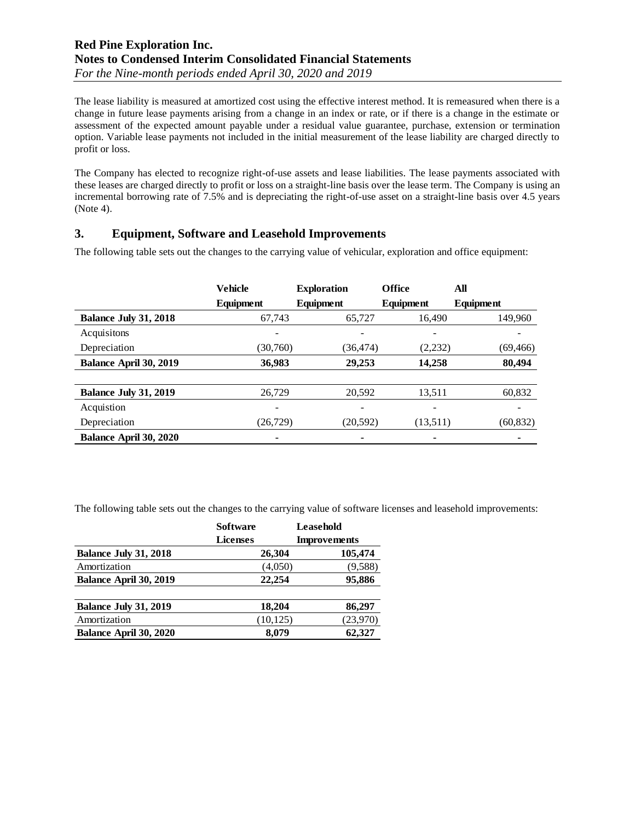The lease liability is measured at amortized cost using the effective interest method. It is remeasured when there is a change in future lease payments arising from a change in an index or rate, or if there is a change in the estimate or assessment of the expected amount payable under a residual value guarantee, purchase, extension or termination option. Variable lease payments not included in the initial measurement of the lease liability are charged directly to profit or loss.

The Company has elected to recognize right-of-use assets and lease liabilities. The lease payments associated with these leases are charged directly to profit or loss on a straight-line basis over the lease term. The Company is using an incremental borrowing rate of 7.5% and is depreciating the right-of-use asset on a straight-line basis over 4.5 years (Note 4).

# **3. Equipment, Software and Leasehold Improvements**

The following table sets out the changes to the carrying value of vehicular, exploration and office equipment:

|                              | <b>Vehicle</b> | <b>Exploration</b> | <b>Office</b> | All       |
|------------------------------|----------------|--------------------|---------------|-----------|
|                              | Equipment      | Equipment          | Equipment     | Equipment |
| <b>Balance July 31, 2018</b> | 67,743         | 65,727             | 16,490        | 149,960   |
| Acquisitons                  |                |                    |               |           |
| Depreciation                 | (30,760)       | (36, 474)          | (2,232)       | (69, 466) |
| Balance April 30, 2019       | 36,983         | 29,253             | 14,258        | 80,494    |
|                              |                |                    |               |           |
| <b>Balance July 31, 2019</b> | 26,729         | 20,592             | 13,511        | 60,832    |
| Acquistion                   |                |                    |               |           |
| Depreciation                 | (26, 729)      | (20, 592)          | (13,511)      | (60, 832) |
| Balance April 30, 2020       |                |                    |               |           |

The following table sets out the changes to the carrying value of software licenses and leasehold improvements:

|                              | <b>Software</b> |         | Leasehold           |  |  |
|------------------------------|-----------------|---------|---------------------|--|--|
|                              | Licenses        |         | <b>Improvements</b> |  |  |
| <b>Balance July 31, 2018</b> | 26,304          |         | 105,474             |  |  |
| Amortization                 |                 | (4,050) | (9,588)             |  |  |
| Balance April 30, 2019       | 22,254          |         | 95,886              |  |  |
| <b>Balance July 31, 2019</b> | 18,204          |         | 86,297              |  |  |
| Amortization                 | (10, 125)       |         | (23,970)            |  |  |
| Balance April 30, 2020       |                 | 8,079   | 62,327              |  |  |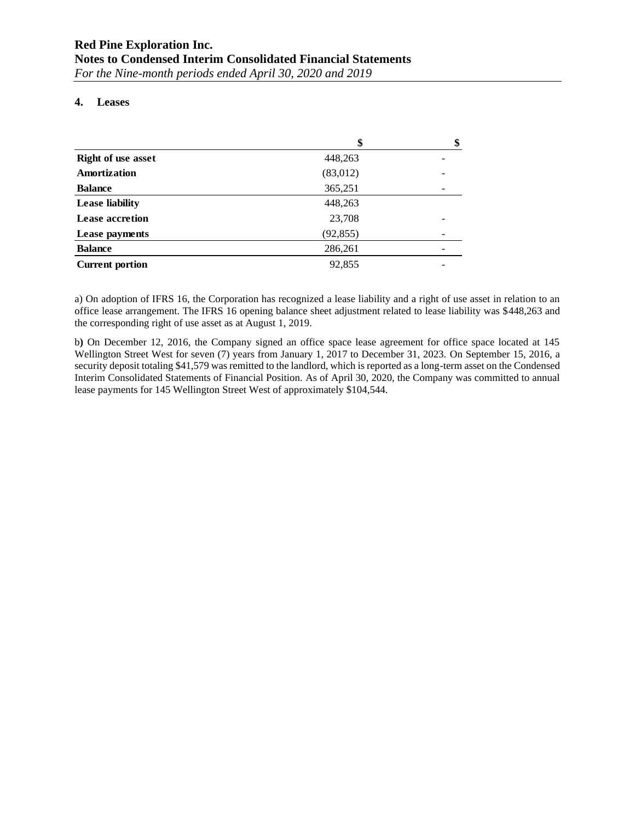### **4. Leases**

|                           | \$        | \$ |
|---------------------------|-----------|----|
| <b>Right of use asset</b> | 448,263   |    |
| Amortization              | (83,012)  |    |
| <b>Balance</b>            | 365,251   |    |
| <b>Lease liability</b>    | 448,263   |    |
| <b>Lease accretion</b>    | 23,708    |    |
| Lease payments            | (92, 855) |    |
| <b>Balance</b>            | 286,261   |    |
| <b>Current portion</b>    | 92,855    |    |

a) On adoption of IFRS 16, the Corporation has recognized a lease liability and a right of use asset in relation to an office lease arrangement. The IFRS 16 opening balance sheet adjustment related to lease liability was \$448,263 and the corresponding right of use asset as at August 1, 2019.

b**)** On December 12, 2016, the Company signed an office space lease agreement for office space located at 145 Wellington Street West for seven (7) years from January 1, 2017 to December 31, 2023. On September 15, 2016, a security deposit totaling \$41,579 was remitted to the landlord, which is reported as a long-term asset on the Condensed Interim Consolidated Statements of Financial Position. As of April 30, 2020, the Company was committed to annual lease payments for 145 Wellington Street West of approximately \$104,544.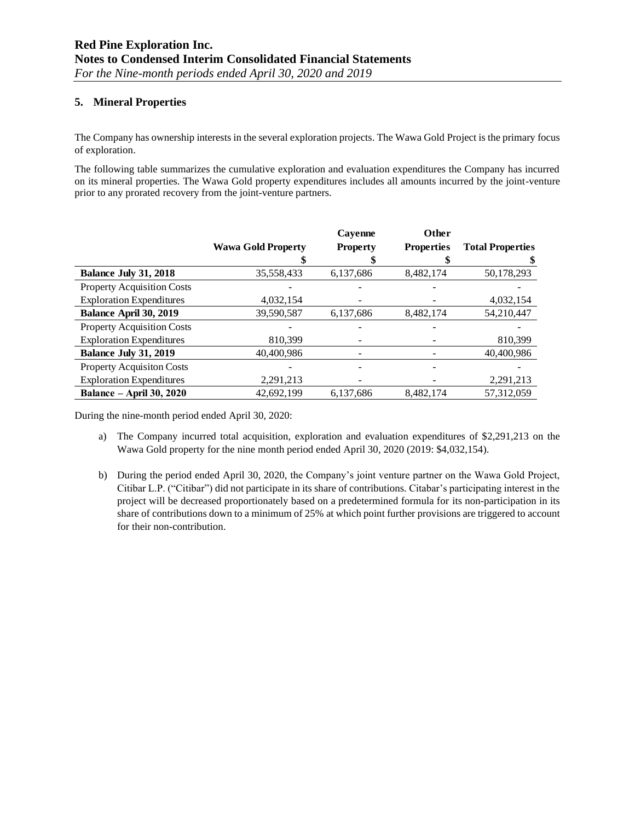### **5. Mineral Properties**

The Company has ownership interests in the several exploration projects. The Wawa Gold Project is the primary focus of exploration.

The following table summarizes the cumulative exploration and evaluation expenditures the Company has incurred on its mineral properties. The Wawa Gold property expenditures includes all amounts incurred by the joint-venture prior to any prorated recovery from the joint-venture partners.

|                                   |                           | Cayenne         | <b>Other</b>      |                         |
|-----------------------------------|---------------------------|-----------------|-------------------|-------------------------|
|                                   | <b>Wawa Gold Property</b> | <b>Property</b> | <b>Properties</b> | <b>Total Properties</b> |
|                                   |                           |                 |                   |                         |
| <b>Balance July 31, 2018</b>      | 35,558,433                | 6,137,686       | 8,482,174         | 50,178,293              |
| <b>Property Acquisition Costs</b> |                           |                 |                   |                         |
| <b>Exploration Expenditures</b>   | 4,032,154                 |                 |                   | 4,032,154               |
| Balance April 30, 2019            | 39,590,587                | 6,137,686       | 8,482,174         | 54,210,447              |
| Property Acquisition Costs        |                           |                 |                   |                         |
| <b>Exploration Expenditures</b>   | 810,399                   |                 |                   | 810,399                 |
| <b>Balance July 31, 2019</b>      | 40,400,986                |                 |                   | 40,400,986              |
| <b>Property Acquisiton Costs</b>  |                           |                 |                   |                         |
| <b>Exploration Expenditures</b>   | 2,291,213                 |                 |                   | 2,291,213               |
| <b>Balance – April 30, 2020</b>   | 42.692.199                | 6.137.686       | 8.482.174         | 57.312.059              |

During the nine-month period ended April 30, 2020:

- a) The Company incurred total acquisition, exploration and evaluation expenditures of \$2,291,213 on the Wawa Gold property for the nine month period ended April 30, 2020 (2019: \$4,032,154).
- b) During the period ended April 30, 2020, the Company's joint venture partner on the Wawa Gold Project, Citibar L.P. ("Citibar") did not participate in its share of contributions. Citabar's participating interest in the project will be decreased proportionately based on a predetermined formula for its non-participation in its share of contributions down to a minimum of 25% at which point further provisions are triggered to account for their non-contribution.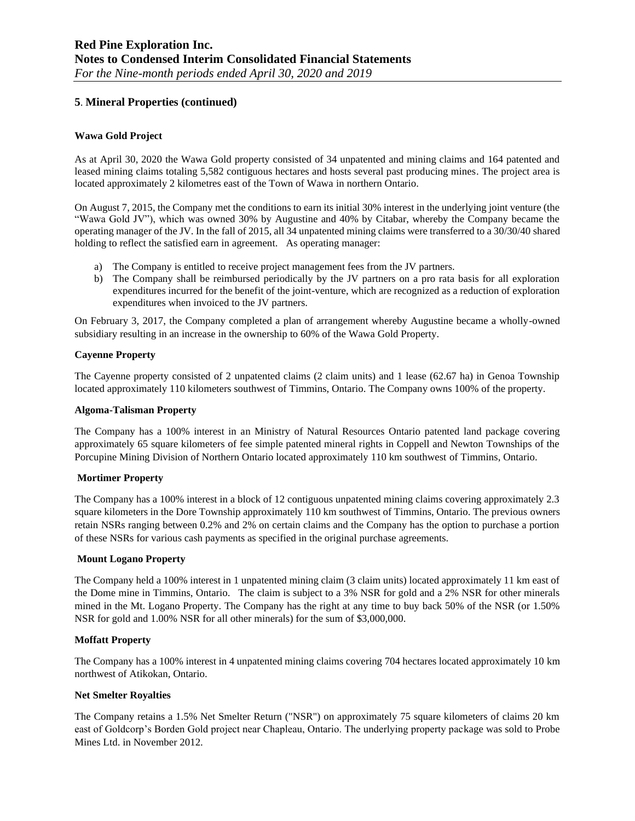### **5**. **Mineral Properties (continued)**

#### **Wawa Gold Project**

As at April 30, 2020 the Wawa Gold property consisted of 34 unpatented and mining claims and 164 patented and leased mining claims totaling 5,582 contiguous hectares and hosts several past producing mines. The project area is located approximately 2 kilometres east of the Town of Wawa in northern Ontario.

On August 7, 2015, the Company met the conditions to earn its initial 30% interest in the underlying joint venture (the "Wawa Gold JV"), which was owned 30% by Augustine and 40% by Citabar, whereby the Company became the operating manager of the JV. In the fall of 2015, all 34 unpatented mining claims were transferred to a 30/30/40 shared holding to reflect the satisfied earn in agreement. As operating manager:

- a) The Company is entitled to receive project management fees from the JV partners.
- b) The Company shall be reimbursed periodically by the JV partners on a pro rata basis for all exploration expenditures incurred for the benefit of the joint-venture, which are recognized as a reduction of exploration expenditures when invoiced to the JV partners.

On February 3, 2017, the Company completed a plan of arrangement whereby Augustine became a wholly-owned subsidiary resulting in an increase in the ownership to 60% of the Wawa Gold Property.

#### **Cayenne Property**

The Cayenne property consisted of 2 unpatented claims (2 claim units) and 1 lease (62.67 ha) in Genoa Township located approximately 110 kilometers southwest of Timmins, Ontario. The Company owns 100% of the property.

#### **Algoma-Talisman Property**

The Company has a 100% interest in an Ministry of Natural Resources Ontario patented land package covering approximately 65 square kilometers of fee simple patented mineral rights in Coppell and Newton Townships of the Porcupine Mining Division of Northern Ontario located approximately 110 km southwest of Timmins, Ontario.

#### **Mortimer Property**

The Company has a 100% interest in a block of 12 contiguous unpatented mining claims covering approximately 2.3 square kilometers in the Dore Township approximately 110 km southwest of Timmins, Ontario. The previous owners retain NSRs ranging between 0.2% and 2% on certain claims and the Company has the option to purchase a portion of these NSRs for various cash payments as specified in the original purchase agreements.

#### **Mount Logano Property**

The Company held a 100% interest in 1 unpatented mining claim (3 claim units) located approximately 11 km east of the Dome mine in Timmins, Ontario. The claim is subject to a 3% NSR for gold and a 2% NSR for other minerals mined in the Mt. Logano Property. The Company has the right at any time to buy back 50% of the NSR (or 1.50% NSR for gold and 1.00% NSR for all other minerals) for the sum of \$3,000,000.

#### **Moffatt Property**

The Company has a 100% interest in 4 unpatented mining claims covering 704 hectares located approximately 10 km northwest of Atikokan, Ontario.

#### **Net Smelter Royalties**

The Company retains a 1.5% Net Smelter Return ("NSR") on approximately 75 square kilometers of claims 20 km east of Goldcorp's Borden Gold project near Chapleau, Ontario. The underlying property package was sold to Probe Mines Ltd. in November 2012.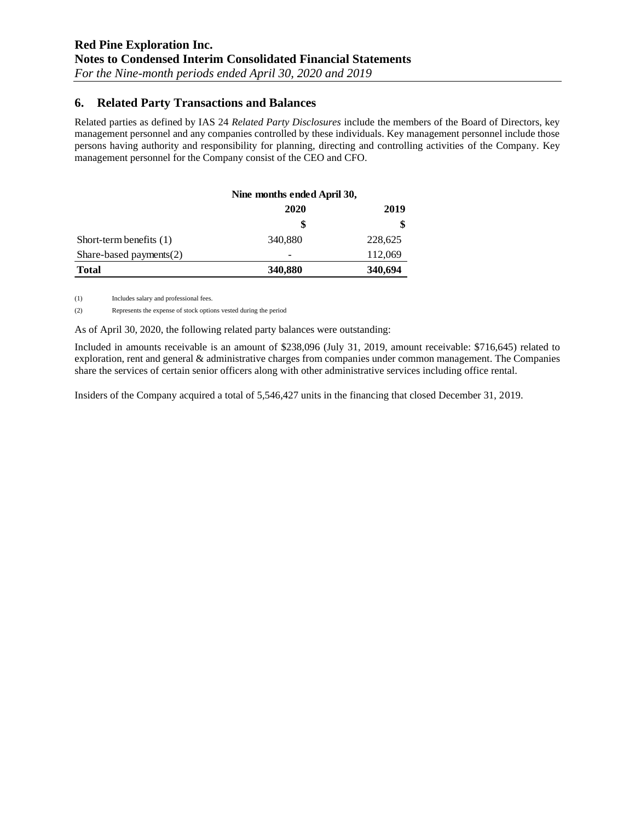# **6. Related Party Transactions and Balances**

Related parties as defined by IAS 24 *Related Party Disclosures* include the members of the Board of Directors, key management personnel and any companies controlled by these individuals. Key management personnel include those persons having authority and responsibility for planning, directing and controlling activities of the Company. Key management personnel for the Company consist of the CEO and CFO.

|                            | Nine months ended April 30, |         |
|----------------------------|-----------------------------|---------|
|                            | 2020                        | 2019    |
|                            |                             | \$      |
| Short-term benefits $(1)$  | 340,880                     | 228,625 |
| Share-based payments $(2)$ |                             | 112,069 |
| <b>Total</b>               | 340,880                     | 340,694 |

(1) Includes salary and professional fees.

(2) Represents the expense of stock options vested during the period

As of April 30, 2020, the following related party balances were outstanding:

Included in amounts receivable is an amount of \$238,096 (July 31, 2019, amount receivable: \$716,645) related to exploration, rent and general & administrative charges from companies under common management. The Companies share the services of certain senior officers along with other administrative services including office rental.

Insiders of the Company acquired a total of 5,546,427 units in the financing that closed December 31, 2019.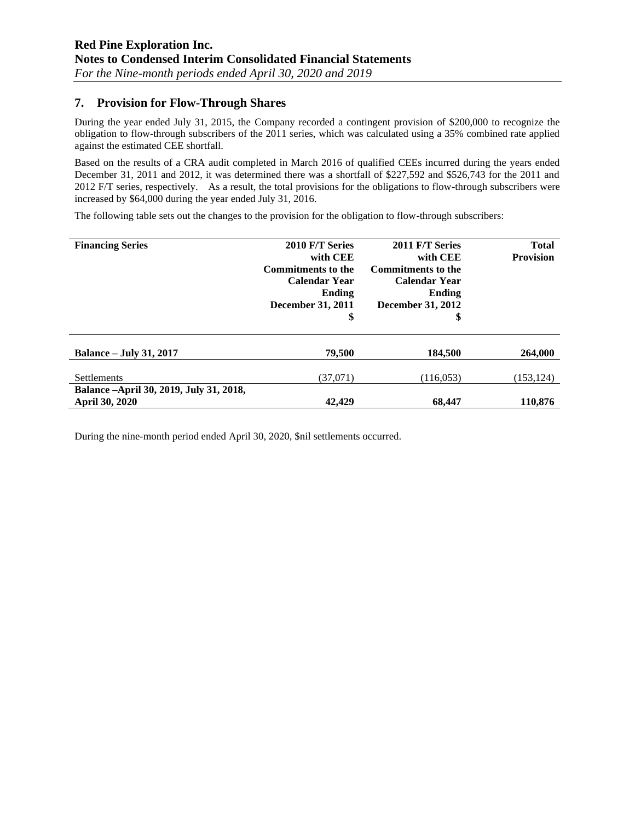# **7. Provision for Flow-Through Shares**

During the year ended July 31, 2015, the Company recorded a contingent provision of \$200,000 to recognize the obligation to flow-through subscribers of the 2011 series, which was calculated using a 35% combined rate applied against the estimated CEE shortfall.

Based on the results of a CRA audit completed in March 2016 of qualified CEEs incurred during the years ended December 31, 2011 and 2012, it was determined there was a shortfall of \$227,592 and \$526,743 for the 2011 and 2012 F/T series, respectively. As a result, the total provisions for the obligations to flow-through subscribers were increased by \$64,000 during the year ended July 31, 2016.

The following table sets out the changes to the provision for the obligation to flow-through subscribers:

| <b>Financing Series</b>                                          | 2010 F/T Series<br>with CEE<br><b>Commitments to the</b><br><b>Calendar Year</b><br>Ending<br>December 31, 2011<br>\$ | 2011 F/T Series<br>with CEE<br><b>Commitments to the</b><br><b>Calendar Year</b><br>Ending<br><b>December 31, 2012</b><br>\$ | <b>Total</b><br><b>Provision</b> |
|------------------------------------------------------------------|-----------------------------------------------------------------------------------------------------------------------|------------------------------------------------------------------------------------------------------------------------------|----------------------------------|
| <b>Balance – July 31, 2017</b>                                   | 79,500                                                                                                                | 184.500                                                                                                                      | 264,000                          |
| <b>Settlements</b>                                               | (37,071)                                                                                                              | (116, 053)                                                                                                                   | (153, 124)                       |
| Balance -April 30, 2019, July 31, 2018,<br><b>April 30, 2020</b> | 42,429                                                                                                                | 68,447                                                                                                                       | 110,876                          |

During the nine-month period ended April 30, 2020, \$nil settlements occurred.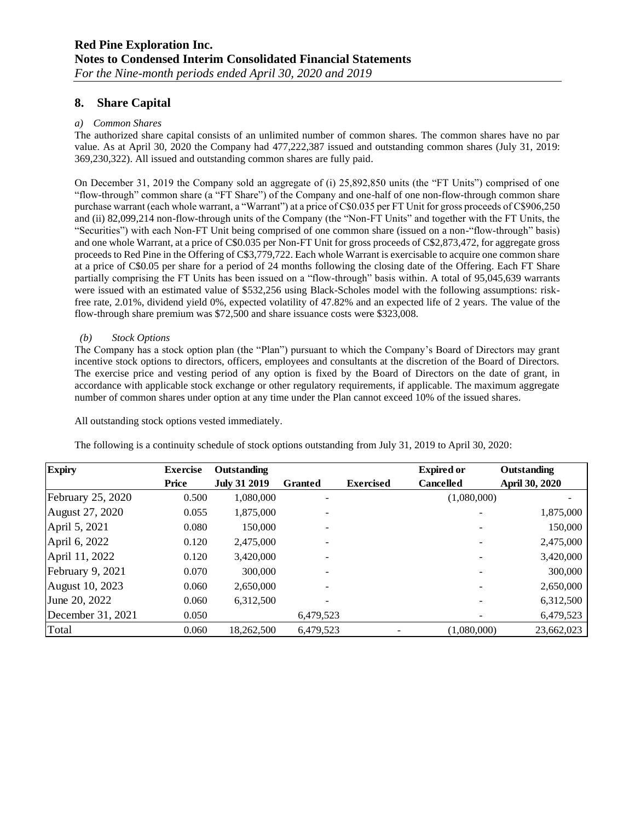# **8. Share Capital**

#### *a) Common Shares*

The authorized share capital consists of an unlimited number of common shares. The common shares have no par value. As at April 30, 2020 the Company had 477,222,387 issued and outstanding common shares (July 31, 2019: 369,230,322). All issued and outstanding common shares are fully paid.

On December 31, 2019 the Company sold an aggregate of (i) 25,892,850 units (the "FT Units") comprised of one "flow-through" common share (a "FT Share") of the Company and one-half of one non-flow-through common share purchase warrant (each whole warrant, a "Warrant") at a price of C\$0.035 per FT Unit for gross proceeds of C\$906,250 and (ii) 82,099,214 non-flow-through units of the Company (the "Non-FT Units" and together with the FT Units, the "Securities") with each Non-FT Unit being comprised of one common share (issued on a non-"flow-through" basis) and one whole Warrant, at a price of C\$0.035 per Non-FT Unit for gross proceeds of C\$2,873,472, for aggregate gross proceeds to Red Pine in the Offering of C\$3,779,722. Each whole Warrant is exercisable to acquire one common share at a price of C\$0.05 per share for a period of 24 months following the closing date of the Offering. Each FT Share partially comprising the FT Units has been issued on a "flow-through" basis within. A total of 95,045,639 warrants were issued with an estimated value of \$532,256 using Black-Scholes model with the following assumptions: riskfree rate, 2.01%, dividend yield 0%, expected volatility of 47.82% and an expected life of 2 years. The value of the flow-through share premium was \$72,500 and share issuance costs were \$323,008.

#### *(b) Stock Options*

The Company has a stock option plan (the "Plan") pursuant to which the Company's Board of Directors may grant incentive stock options to directors, officers, employees and consultants at the discretion of the Board of Directors. The exercise price and vesting period of any option is fixed by the Board of Directors on the date of grant, in accordance with applicable stock exchange or other regulatory requirements, if applicable. The maximum aggregate number of common shares under option at any time under the Plan cannot exceed 10% of the issued shares.

All outstanding stock options vested immediately.

The following is a continuity schedule of stock options outstanding from July 31, 2019 to April 30, 2020:

| <b>Expiry</b>     | <b>Exercise</b> | Outstanding         |                |                  | <b>Expired or</b> | Outstanding    |
|-------------------|-----------------|---------------------|----------------|------------------|-------------------|----------------|
|                   | Price           | <b>July 31 2019</b> | <b>Granted</b> | <b>Exercised</b> | <b>Cancelled</b>  | April 30, 2020 |
| February 25, 2020 | 0.500           | 1,080,000           |                |                  | (1,080,000)       |                |
| August 27, 2020   | 0.055           | 1,875,000           |                |                  |                   | 1,875,000      |
| April 5, 2021     | 0.080           | 150,000             |                |                  |                   | 150,000        |
| April 6, 2022     | 0.120           | 2,475,000           |                |                  |                   | 2,475,000      |
| April 11, 2022    | 0.120           | 3,420,000           |                |                  |                   | 3,420,000      |
| February 9, 2021  | 0.070           | 300,000             |                |                  |                   | 300,000        |
| August 10, 2023   | 0.060           | 2,650,000           |                |                  |                   | 2,650,000      |
| June 20, 2022     | 0.060           | 6,312,500           |                |                  |                   | 6,312,500      |
| December 31, 2021 | 0.050           |                     | 6,479,523      |                  |                   | 6,479,523      |
| Total             | 0.060           | 18,262,500          | 6,479,523      |                  | (1,080,000)       | 23,662,023     |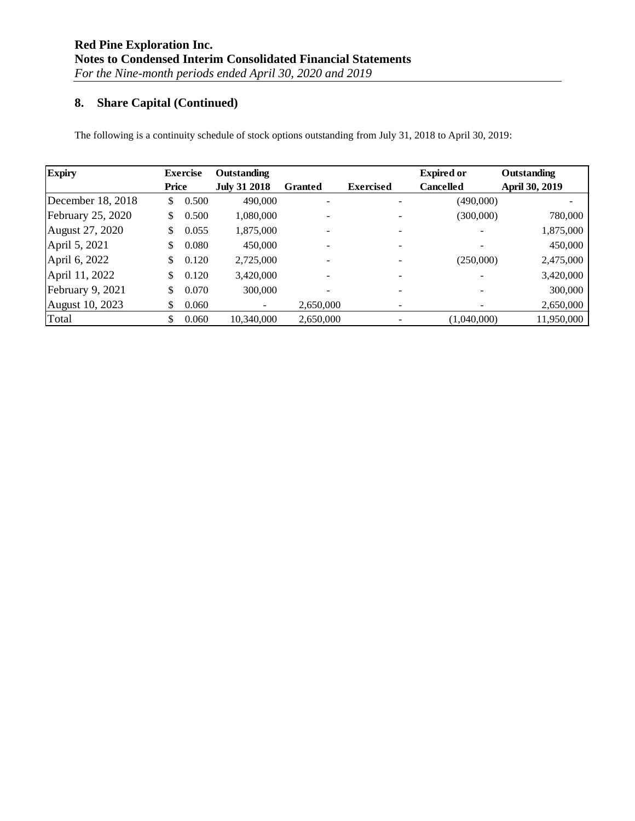# **8. Share Capital (Continued)**

The following is a continuity schedule of stock options outstanding from July 31, 2018 to April 30, 2019:

| <b>Expiry</b>     |       | <b>Exercise</b> | Outstanding         |                |                  | <b>Expired or</b> | Outstanding    |
|-------------------|-------|-----------------|---------------------|----------------|------------------|-------------------|----------------|
|                   | Price |                 | <b>July 31 2018</b> | <b>Granted</b> | <b>Exercised</b> | <b>Cancelled</b>  | April 30, 2019 |
| December 18, 2018 | \$    | 0.500           | 490,000             |                |                  | (490,000)         |                |
| February 25, 2020 | \$    | 0.500           | 1,080,000           |                |                  | (300,000)         | 780,000        |
| August 27, 2020   | \$    | 0.055           | 1,875,000           |                |                  |                   | 1,875,000      |
| April 5, 2021     | \$    | 0.080           | 450,000             |                |                  |                   | 450,000        |
| April 6, 2022     | \$    | 0.120           | 2,725,000           |                |                  | (250,000)         | 2,475,000      |
| April 11, 2022    | \$    | 0.120           | 3,420,000           |                |                  |                   | 3,420,000      |
| February 9, 2021  | \$    | 0.070           | 300,000             |                |                  |                   | 300,000        |
| August 10, 2023   | S     | 0.060           | -                   | 2,650,000      |                  |                   | 2,650,000      |
| Total             | \$    | 0.060           | 10,340,000          | 2,650,000      |                  | (1.040.000)       | 11,950,000     |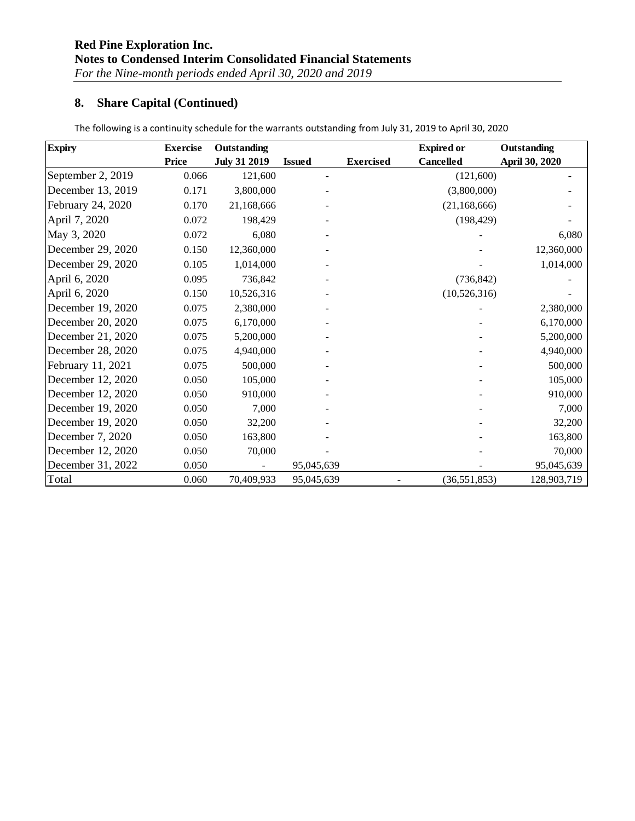# **8. Share Capital (Continued)**

| <b>Expiry</b>     | <b>Exercise</b> | Outstanding         |               |                  | <b>Expired or</b> | Outstanding    |
|-------------------|-----------------|---------------------|---------------|------------------|-------------------|----------------|
|                   | <b>Price</b>    | <b>July 31 2019</b> | <b>Issued</b> | <b>Exercised</b> | <b>Cancelled</b>  | April 30, 2020 |
| September 2, 2019 | 0.066           | 121,600             |               |                  | (121,600)         |                |
| December 13, 2019 | 0.171           | 3,800,000           |               |                  | (3,800,000)       |                |
| February 24, 2020 | 0.170           | 21,168,666          |               |                  | (21, 168, 666)    |                |
| April 7, 2020     | 0.072           | 198,429             |               |                  | (198, 429)        |                |
| May 3, 2020       | 0.072           | 6,080               |               |                  |                   | 6,080          |
| December 29, 2020 | 0.150           | 12,360,000          |               |                  |                   | 12,360,000     |
| December 29, 2020 | 0.105           | 1,014,000           |               |                  |                   | 1,014,000      |
| April 6, 2020     | 0.095           | 736,842             |               |                  | (736, 842)        |                |
| April 6, 2020     | 0.150           | 10,526,316          |               |                  | (10,526,316)      |                |
| December 19, 2020 | 0.075           | 2,380,000           |               |                  |                   | 2,380,000      |
| December 20, 2020 | 0.075           | 6,170,000           |               |                  |                   | 6,170,000      |
| December 21, 2020 | 0.075           | 5,200,000           |               |                  |                   | 5,200,000      |
| December 28, 2020 | 0.075           | 4,940,000           |               |                  |                   | 4,940,000      |
| February 11, 2021 | 0.075           | 500,000             |               |                  |                   | 500,000        |
| December 12, 2020 | 0.050           | 105,000             |               |                  |                   | 105,000        |
| December 12, 2020 | 0.050           | 910,000             |               |                  |                   | 910,000        |
| December 19, 2020 | 0.050           | 7,000               |               |                  |                   | 7,000          |
| December 19, 2020 | 0.050           | 32,200              |               |                  |                   | 32,200         |
| December 7, 2020  | 0.050           | 163,800             |               |                  |                   | 163,800        |
| December 12, 2020 | 0.050           | 70,000              |               |                  |                   | 70,000         |
| December 31, 2022 | 0.050           |                     | 95,045,639    |                  |                   | 95,045,639     |
| Total             | 0.060           | 70,409,933          | 95,045,639    |                  | (36, 551, 853)    | 128,903,719    |

The following is a continuity schedule for the warrants outstanding from July 31, 2019 to April 30, 2020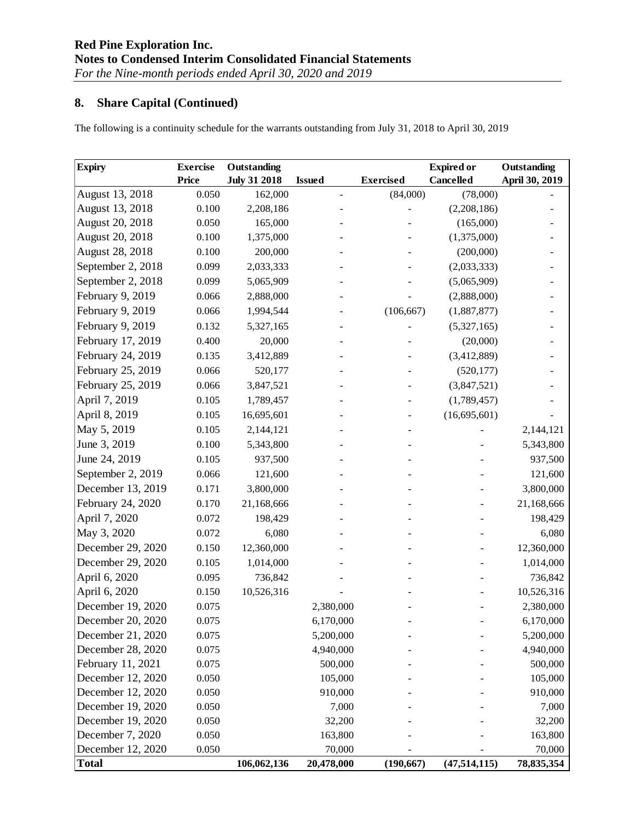# **8. Share Capital (Continued)**

The following is a continuity schedule for the warrants outstanding from July 31, 2018 to April 30, 2019

| <b>Expiry</b>     | <b>Exercise</b> | Outstanding         |                          |                  | <b>Expired or</b> | Outstanding    |
|-------------------|-----------------|---------------------|--------------------------|------------------|-------------------|----------------|
|                   | Price           | <b>July 31 2018</b> | <b>Issued</b>            | <b>Exercised</b> | <b>Cancelled</b>  | April 30, 2019 |
| August 13, 2018   | 0.050           | 162,000             | $\overline{\phantom{m}}$ | (84,000)         | (78,000)          |                |
| August 13, 2018   | 0.100           | 2,208,186           |                          |                  | (2,208,186)       |                |
| August 20, 2018   | 0.050           | 165,000             |                          |                  | (165,000)         |                |
| August 20, 2018   | 0.100           | 1,375,000           |                          |                  | (1,375,000)       |                |
| August 28, 2018   | 0.100           | 200,000             |                          |                  | (200,000)         |                |
| September 2, 2018 | 0.099           | 2,033,333           |                          |                  | (2,033,333)       |                |
| September 2, 2018 | 0.099           | 5,065,909           |                          |                  | (5,065,909)       |                |
| February 9, 2019  | 0.066           | 2,888,000           |                          |                  | (2,888,000)       |                |
| February 9, 2019  | 0.066           | 1,994,544           |                          | (106, 667)       | (1,887,877)       |                |
| February 9, 2019  | 0.132           | 5,327,165           |                          |                  | (5,327,165)       |                |
| February 17, 2019 | 0.400           | 20,000              |                          |                  | (20,000)          |                |
| February 24, 2019 | 0.135           | 3,412,889           |                          |                  | (3,412,889)       |                |
| February 25, 2019 | 0.066           | 520,177             |                          |                  | (520, 177)        |                |
| February 25, 2019 | 0.066           | 3,847,521           |                          |                  | (3,847,521)       |                |
| April 7, 2019     | 0.105           | 1,789,457           |                          |                  | (1,789,457)       |                |
| April 8, 2019     | 0.105           | 16,695,601          |                          |                  | (16,695,601)      |                |
| May 5, 2019       | 0.105           | 2,144,121           |                          |                  |                   | 2,144,121      |
| June 3, 2019      | 0.100           | 5,343,800           |                          |                  |                   | 5,343,800      |
| June 24, 2019     | 0.105           | 937,500             |                          |                  |                   | 937,500        |
| September 2, 2019 | 0.066           | 121,600             |                          |                  |                   | 121,600        |
| December 13, 2019 | 0.171           | 3,800,000           |                          |                  |                   | 3,800,000      |
| February 24, 2020 | 0.170           | 21,168,666          |                          |                  |                   | 21,168,666     |
| April 7, 2020     | 0.072           | 198,429             |                          |                  |                   | 198,429        |
| May 3, 2020       | 0.072           | 6,080               |                          |                  |                   | 6,080          |
| December 29, 2020 | 0.150           | 12,360,000          |                          |                  |                   | 12,360,000     |
| December 29, 2020 | 0.105           | 1,014,000           |                          |                  |                   | 1,014,000      |
| April 6, 2020     | 0.095           | 736,842             |                          |                  |                   | 736,842        |
| April 6, 2020     | 0.150           | 10,526,316          |                          |                  |                   | 10,526,316     |
| December 19, 2020 | 0.075           |                     | 2,380,000                |                  |                   | 2,380,000      |
| December 20, 2020 | 0.075           |                     | 6,170,000                |                  |                   | 6,170,000      |
| December 21, 2020 | 0.075           |                     | 5,200,000                |                  |                   | 5,200,000      |
| December 28, 2020 | 0.075           |                     | 4,940,000                |                  |                   | 4,940,000      |
| February 11, 2021 | 0.075           |                     | 500,000                  |                  |                   | 500,000        |
| December 12, 2020 | 0.050           |                     | 105,000                  |                  |                   | 105,000        |
| December 12, 2020 | 0.050           |                     | 910,000                  |                  |                   | 910,000        |
| December 19, 2020 | 0.050           |                     | 7,000                    |                  |                   | 7,000          |
| December 19, 2020 | 0.050           |                     | 32,200                   |                  |                   | 32,200         |
| December 7, 2020  | 0.050           |                     | 163,800                  |                  |                   | 163,800        |
| December 12, 2020 | 0.050           |                     | 70,000                   |                  |                   | 70,000         |
| <b>Total</b>      |                 | 106,062,136         | 20,478,000               | (190, 667)       | (47, 514, 115)    | 78,835,354     |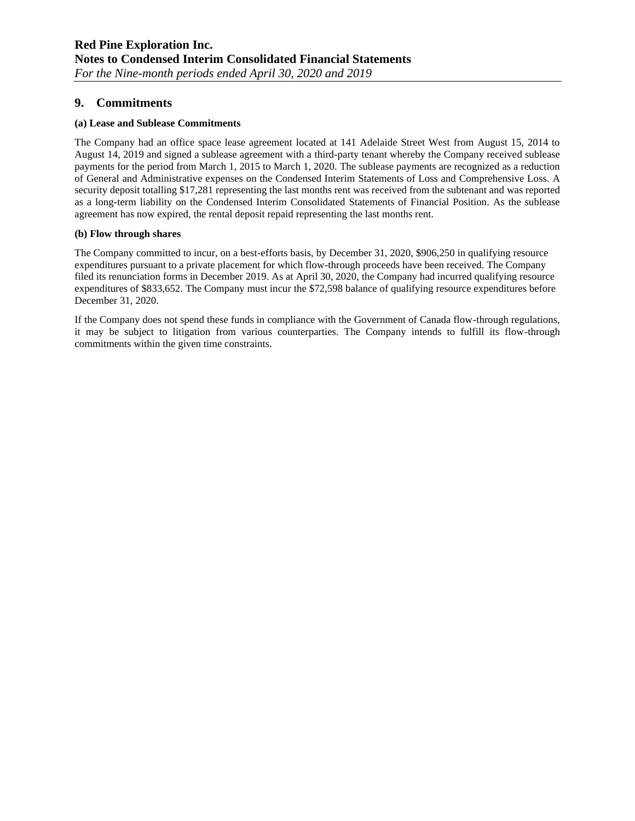### **9. Commitments**

#### **(a) Lease and Sublease Commitments**

The Company had an office space lease agreement located at 141 Adelaide Street West from August 15, 2014 to August 14, 2019 and signed a sublease agreement with a third-party tenant whereby the Company received sublease payments for the period from March 1, 2015 to March 1, 2020. The sublease payments are recognized as a reduction of General and Administrative expenses on the Condensed Interim Statements of Loss and Comprehensive Loss. A security deposit totalling \$17,281 representing the last months rent was received from the subtenant and was reported as a long-term liability on the Condensed Interim Consolidated Statements of Financial Position. As the sublease agreement has now expired, the rental deposit repaid representing the last months rent.

#### **(b) Flow through shares**

The Company committed to incur, on a best-efforts basis, by December 31, 2020, \$906,250 in qualifying resource expenditures pursuant to a private placement for which flow-through proceeds have been received. The Company filed its renunciation forms in December 2019. As at April 30, 2020, the Company had incurred qualifying resource expenditures of \$833,652. The Company must incur the \$72,598 balance of qualifying resource expenditures before December 31, 2020.

If the Company does not spend these funds in compliance with the Government of Canada flow-through regulations, it may be subject to litigation from various counterparties. The Company intends to fulfill its flow-through commitments within the given time constraints.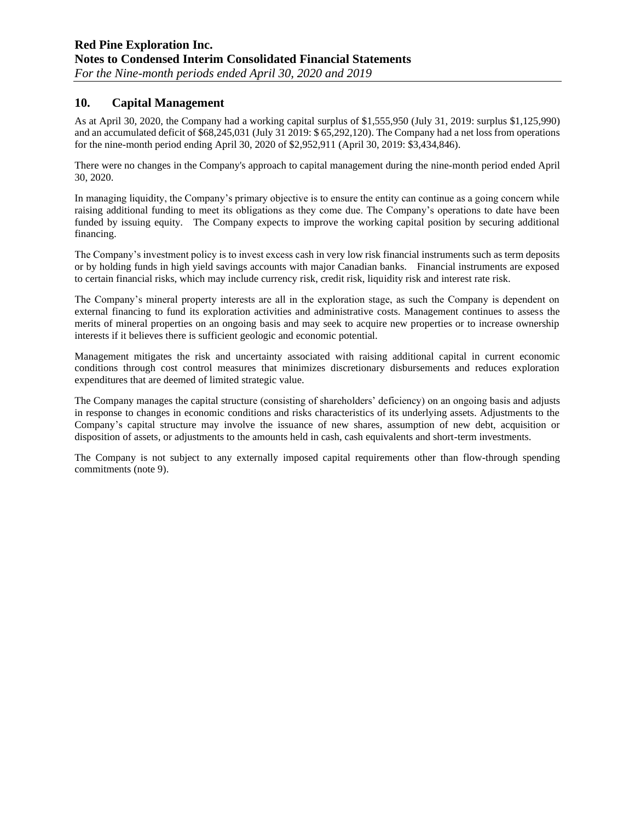# **10. Capital Management**

As at April 30, 2020, the Company had a working capital surplus of \$1,555,950 (July 31, 2019: surplus \$1,125,990) and an accumulated deficit of \$68,245,031 (July 31 2019: \$ 65,292,120). The Company had a net loss from operations for the nine-month period ending April 30, 2020 of \$2,952,911 (April 30, 2019: \$3,434,846).

There were no changes in the Company's approach to capital management during the nine-month period ended April 30, 2020.

In managing liquidity, the Company's primary objective is to ensure the entity can continue as a going concern while raising additional funding to meet its obligations as they come due. The Company's operations to date have been funded by issuing equity. The Company expects to improve the working capital position by securing additional financing.

The Company's investment policy is to invest excess cash in very low risk financial instruments such as term deposits or by holding funds in high yield savings accounts with major Canadian banks. Financial instruments are exposed to certain financial risks, which may include currency risk, credit risk, liquidity risk and interest rate risk.

The Company's mineral property interests are all in the exploration stage, as such the Company is dependent on external financing to fund its exploration activities and administrative costs. Management continues to assess the merits of mineral properties on an ongoing basis and may seek to acquire new properties or to increase ownership interests if it believes there is sufficient geologic and economic potential.

Management mitigates the risk and uncertainty associated with raising additional capital in current economic conditions through cost control measures that minimizes discretionary disbursements and reduces exploration expenditures that are deemed of limited strategic value.

The Company manages the capital structure (consisting of shareholders' deficiency) on an ongoing basis and adjusts in response to changes in economic conditions and risks characteristics of its underlying assets. Adjustments to the Company's capital structure may involve the issuance of new shares, assumption of new debt, acquisition or disposition of assets, or adjustments to the amounts held in cash, cash equivalents and short-term investments.

The Company is not subject to any externally imposed capital requirements other than flow-through spending commitments (note 9).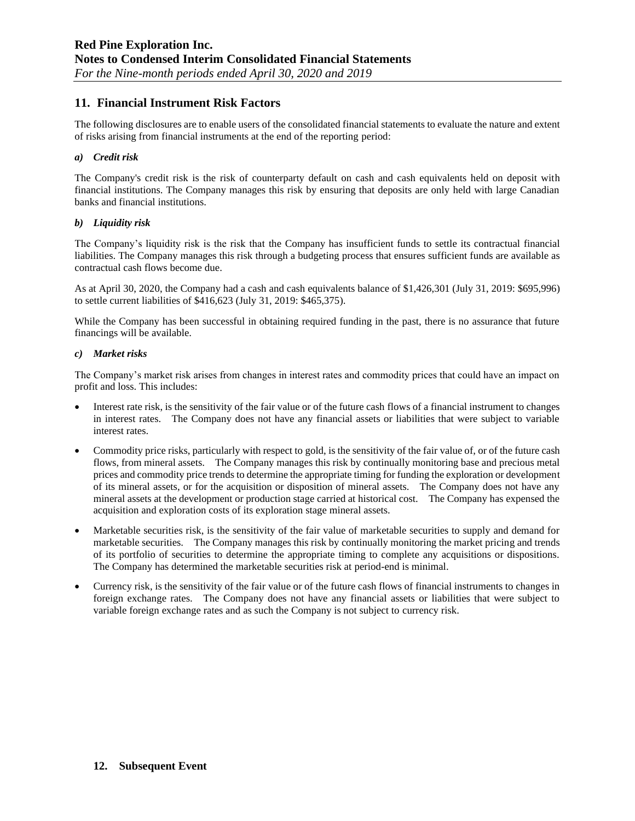### **11. Financial Instrument Risk Factors**

The following disclosures are to enable users of the consolidated financial statements to evaluate the nature and extent of risks arising from financial instruments at the end of the reporting period:

#### *a) Credit risk*

The Company's credit risk is the risk of counterparty default on cash and cash equivalents held on deposit with financial institutions. The Company manages this risk by ensuring that deposits are only held with large Canadian banks and financial institutions.

#### *b) Liquidity risk*

The Company's liquidity risk is the risk that the Company has insufficient funds to settle its contractual financial liabilities. The Company manages this risk through a budgeting process that ensures sufficient funds are available as contractual cash flows become due.

As at April 30, 2020, the Company had a cash and cash equivalents balance of \$1,426,301 (July 31, 2019: \$695,996) to settle current liabilities of \$416,623 (July 31, 2019: \$465,375).

While the Company has been successful in obtaining required funding in the past, there is no assurance that future financings will be available.

#### *c) Market risks*

The Company's market risk arises from changes in interest rates and commodity prices that could have an impact on profit and loss. This includes:

- Interest rate risk, is the sensitivity of the fair value or of the future cash flows of a financial instrument to changes in interest rates. The Company does not have any financial assets or liabilities that were subject to variable interest rates.
- Commodity price risks, particularly with respect to gold, is the sensitivity of the fair value of, or of the future cash flows, from mineral assets. The Company manages this risk by continually monitoring base and precious metal prices and commodity price trends to determine the appropriate timing for funding the exploration or development of its mineral assets, or for the acquisition or disposition of mineral assets. The Company does not have any mineral assets at the development or production stage carried at historical cost. The Company has expensed the acquisition and exploration costs of its exploration stage mineral assets.
- Marketable securities risk, is the sensitivity of the fair value of marketable securities to supply and demand for marketable securities. The Company manages this risk by continually monitoring the market pricing and trends of its portfolio of securities to determine the appropriate timing to complete any acquisitions or dispositions. The Company has determined the marketable securities risk at period-end is minimal.
- Currency risk, is the sensitivity of the fair value or of the future cash flows of financial instruments to changes in foreign exchange rates. The Company does not have any financial assets or liabilities that were subject to variable foreign exchange rates and as such the Company is not subject to currency risk.